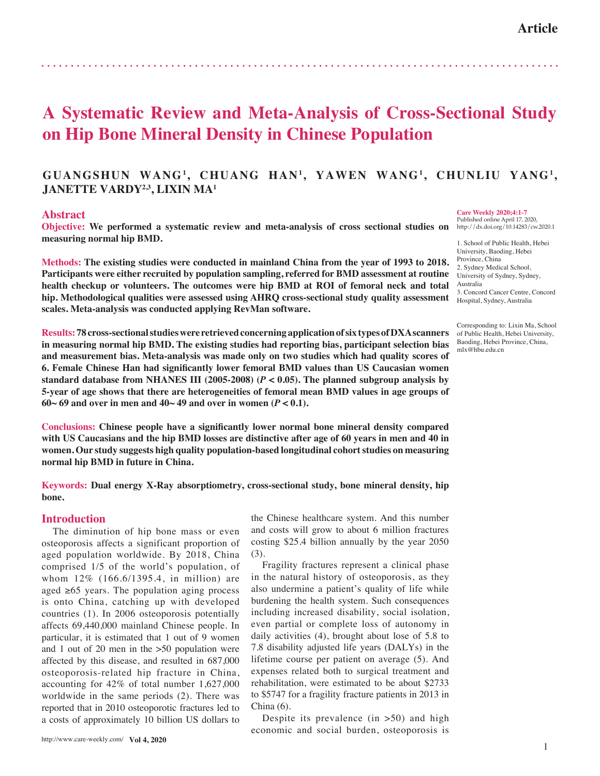# **A Systematic Review and Meta-Analysis of Cross-Sectional Study on Hip Bone Mineral Density in Chinese Population**

# **GUANGSHUN WANG1, CHUANG HAN1, YAWEN WANG1, CHUNLIU YANG1, JANETTE VARDY<sup>2,3</sup>, LIXIN MA<sup>1</sup>**

### **Abstract**

**Objective: We performed a systematic review and meta-analysis of cross sectional studies on measuring normal hip BMD.**

**Methods: The existing studies were conducted in mainland China from the year of 1993 to 2018. Participants were either recruited by population sampling, referred for BMD assessment at routine health checkup or volunteers. The outcomes were hip BMD at ROI of femoral neck and total hip. Methodological qualities were assessed using AHRQ cross-sectional study quality assessment scales. Meta-analysis was conducted applying RevMan software.**

**Results: 78 cross-sectional studies were retrieved concerning application of six types of DXA scanners in measuring normal hip BMD. The existing studies had reporting bias, participant selection bias and measurement bias. Meta-analysis was made only on two studies which had quality scores of 6. Female Chinese Han had significantly lower femoral BMD values than US Caucasian women standard database from NHANES III (2005-2008) (***P* **< 0.05). The planned subgroup analysis by 5-year of age shows that there are heterogeneities of femoral mean BMD values in age groups of**   $60~69$  and over in men and  $40~49$  and over in women  $(P < 0.1)$ .

**Conclusions: Chinese people have a significantly lower normal bone mineral density compared with US Caucasians and the hip BMD losses are distinctive after age of 60 years in men and 40 in women. Our study suggests high quality population-based longitudinal cohort studies on measuring normal hip BMD in future in China.** 

**Keywords: Dual energy X-Ray absorptiometry, cross-sectional study, bone mineral density, hip bone.** 

## **Introduction**

The diminution of hip bone mass or even osteoporosis affects a significant proportion of aged population worldwide. By 2018, China comprised 1/5 of the world's population, of whom 12% (166.6/1395.4, in million) are aged  $≥65$  years. The population aging process is onto China, catching up with developed countries (1). In 2006 osteoporosis potentially affects 69,440,000 mainland Chinese people. In particular, it is estimated that 1 out of 9 women and 1 out of 20 men in the >50 population were affected by this disease, and resulted in 687,000 osteoporosis-related hip fracture in China, accounting for 42% of total number 1,627,000 worldwide in the same periods (2). There was reported that in 2010 osteoporotic fractures led to a costs of approximately 10 billion US dollars to the Chinese healthcare system. And this number and costs will grow to about 6 million fractures costing \$25.4 billion annually by the year 2050 (3).

Fragility fractures represent a clinical phase in the natural history of osteoporosis, as they also undermine a patient's quality of life while burdening the health system. Such consequences including increased disability, social isolation, even partial or complete loss of autonomy in daily activities (4), brought about lose of 5.8 to 7.8 disability adjusted life years (DALYs) in the lifetime course per patient on average (5). And expenses related both to surgical treatment and rehabilitation, were estimated to be about \$2733 to \$5747 for a fragility fracture patients in 2013 in China (6).

Despite its prevalence  $(in > 50)$  and high economic and social burden, osteoporosis is **Care Weekly 2020;4:1-7** Published online April 17, 2020,

http://dx.doi.org/10.14283/cw.2020.1

1. School of Public Health, Hebei University, Baoding, Hebei Province, China 2. Sydney Medical School, University of Sydney, Sydney, Australia 3. Concord Cancer Centre, Concord Hospital, Sydney, Australia

Corresponding to: Lixin Ma, School of Public Health, Hebei University, Baoding, Hebei Province, China, mlx@hbu.edu.cn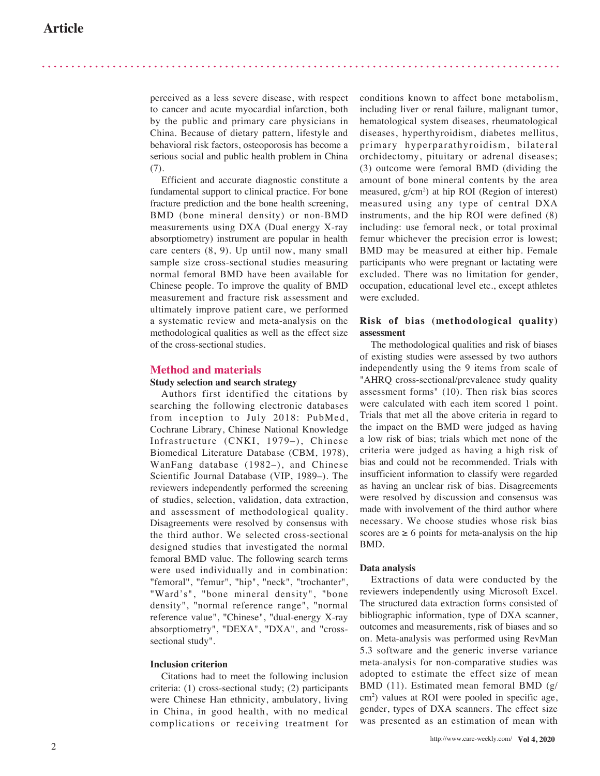perceived as a less severe disease, with respect to cancer and acute myocardial infarction, both by the public and primary care physicians in China. Because of dietary pattern, lifestyle and behavioral risk factors, osteoporosis has become a serious social and public health problem in China (7).

Efficient and accurate diagnostic constitute a fundamental support to clinical practice. For bone fracture prediction and the bone health screening, BMD (bone mineral density) or non-BMD measurements using DXA (Dual energy X-ray absorptiometry) instrument are popular in health care centers (8, 9). Up until now, many small sample size cross-sectional studies measuring normal femoral BMD have been available for Chinese people. To improve the quality of BMD measurement and fracture risk assessment and ultimately improve patient care, we performed a systematic review and meta-analysis on the methodological qualities as well as the effect size of the cross-sectional studies.

## **Method and materials**

## **Study selection and search strategy**

Authors first identified the citations by searching the following electronic databases from inception to July 2018: PubMed, Cochrane Library, Chinese National Knowledge Infrastructure (CNKI, 1979–), Chinese Biomedical Literature Database (CBM, 1978), WanFang database (1982–), and Chinese Scientific Journal Database (VIP, 1989–). The reviewers independently performed the screening of studies, selection, validation, data extraction, and assessment of methodological quality. Disagreements were resolved by consensus with the third author. We selected cross-sectional designed studies that investigated the normal femoral BMD value. The following search terms were used individually and in combination: "femoral", "femur", "hip", "neck", "trochanter", "Ward's", "bone mineral density", "bone density", "normal reference range", "normal reference value", "Chinese", "dual-energy X-ray absorptiometry", "DEXA", "DXA", and "crosssectional study".

#### **Inclusion criterion**

Citations had to meet the following inclusion criteria: (1) cross-sectional study; (2) participants were Chinese Han ethnicity, ambulatory, living in China, in good health, with no medical complications or receiving treatment for conditions known to affect bone metabolism, including liver or renal failure, malignant tumor, hematological system diseases, rheumatological diseases, hyperthyroidism, diabetes mellitus, primary hyperparathyroidism, bilateral orchidectomy, pituitary or adrenal diseases; (3) outcome were femoral BMD (dividing the amount of bone mineral contents by the area measured, g/cm 2 ) at hip ROI (Region of interest) measured using any type of central DXA instruments, and the hip ROI were defined (8) including: use femoral neck, or total proximal femur whichever the precision error is lowest; BMD may be measured at either hip. Female participants who were pregnant or lactating were excluded. There was no limitation for gender, occupation, educational level etc., except athletes were excluded.

## **Risk of bias (methodological quality) assessment**

The methodological qualities and risk of biases of existing studies were assessed by two authors independently using the 9 items from scale of "AHRQ cross-sectional/prevalence study quality assessment forms" (10). Then risk bias scores were calculated with each item scored 1 point. Trials that met all the above criteria in regard to the impact on the BMD were judged as having a low risk of bias; trials which met none of the criteria were judged as having a high risk of bias and could not be recommended. Trials with insufficient information to classify were regarded as having an unclear risk of bias. Disagreements were resolved by discussion and consensus was made with involvement of the third author where necessary. We choose studies whose risk bias scores are  $\geq 6$  points for meta-analysis on the hip BMD.

#### **Data analysis**

Extractions of data were conducted by the reviewers independently using Microsoft Excel. The structured data extraction forms consisted of bibliographic information, type of DXA scanner, outcomes and measurements, risk of biases and so on. Meta-analysis was performed using RevMan 5.3 software and the generic inverse variance meta-analysis for non-comparative studies was adopted to estimate the effect size of mean BMD (11). Estimated mean femoral BMD (g/ cm 2 ) values at ROI were pooled in specific age, gender, types of DXA scanners. The effect size was presented as an estimation of mean with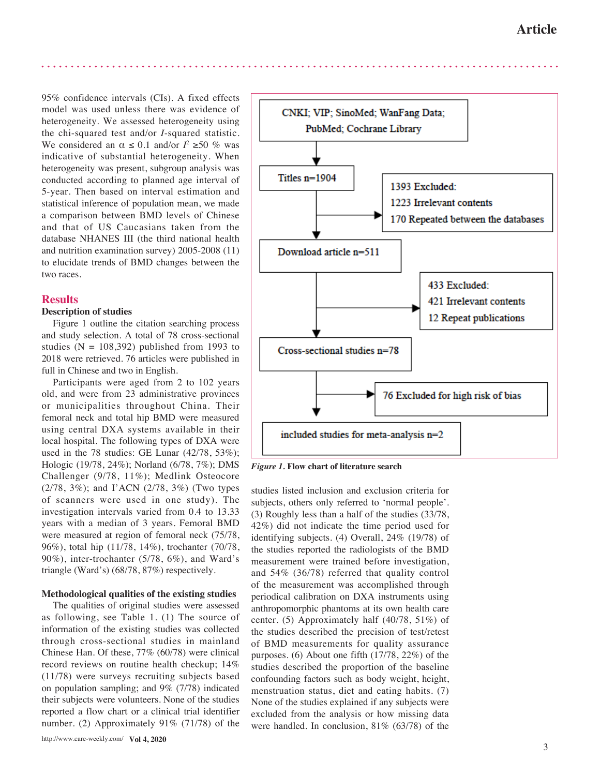95% confidence intervals (CIs). A fixed effects model was used unless there was evidence of heterogeneity. We assessed heterogeneity using the chi-squared test and/or *I*-squared statistic. We considered an  $\alpha \leq 0.1$  and/or  $I^2 \geq 50$  % was indicative of substantial heterogeneity. When heterogeneity was present, subgroup analysis was conducted according to planned age interval of 5-year. Then based on interval estimation and statistical inference of population mean, we made a comparison between BMD levels of Chinese and that of US Caucasians taken from the database NHANES III (the third national health and nutrition examination survey) 2005-2008 (11) to elucidate trends of BMD changes between the two races.

## **Results**

## **Description of studies**

Figure 1 outline the citation searching process and study selection. A total of 78 cross-sectional studies ( $N = 108,392$ ) published from 1993 to 2018 were retrieved. 76 articles were published in full in Chinese and two in English.

Participants were aged from 2 to 102 years old, and were from 23 administrative provinces or municipalities throughout China. Their femoral neck and total hip BMD were measured using central DXA systems available in their local hospital. The following types of DXA were used in the 78 studies: GE Lunar (42/78, 53%); Hologic (19/78, 24%); Norland (6/78, 7%); DMS Challenger (9/78, 11%); Medlink Osteocore (2/78, 3%); and I'ACN (2/78, 3%) (Two types of scanners were used in one study). The investigation intervals varied from 0.4 to 13.33 years with a median of 3 years. Femoral BMD were measured at region of femoral neck (75/78, 96%), total hip (11/78, 14%), trochanter (70/78, 90%), inter-trochanter (5/78, 6%), and Ward's triangle (Ward's) (68/78, 87%) respectively.

## **Methodological qualities of the existing studies**

The qualities of original studies were assessed as following, see Table 1. (1) The source of information of the existing studies was collected through cross-sectional studies in mainland Chinese Han. Of these, 77% (60/78) were clinical record reviews on routine health checkup; 14% (11/78) were surveys recruiting subjects based on population sampling; and 9% (7/78) indicated their subjects were volunteers. None of the studies reported a flow chart or a clinical trial identifier number. (2) Approximately 91% (71/78) of the



*Figure 1.* **Flow chart of literature search**

studies listed inclusion and exclusion criteria for subjects, others only referred to 'normal people'. (3) Roughly less than a half of the studies (33/78, 42%) did not indicate the time period used for identifying subjects. (4) Overall, 24% (19/78) of the studies reported the radiologists of the BMD measurement were trained before investigation, and 54% (36/78) referred that quality control of the measurement was accomplished through periodical calibration on DXA instruments using anthropomorphic phantoms at its own health care center. (5) Approximately half (40/78, 51%) of the studies described the precision of test/retest of BMD measurements for quality assurance purposes. (6) About one fifth (17/78, 22%) of the studies described the proportion of the baseline confounding factors such as body weight, height, menstruation status, diet and eating habits. (7) None of the studies explained if any subjects were excluded from the analysis or how missing data were handled. In conclusion, 81% (63/78) of the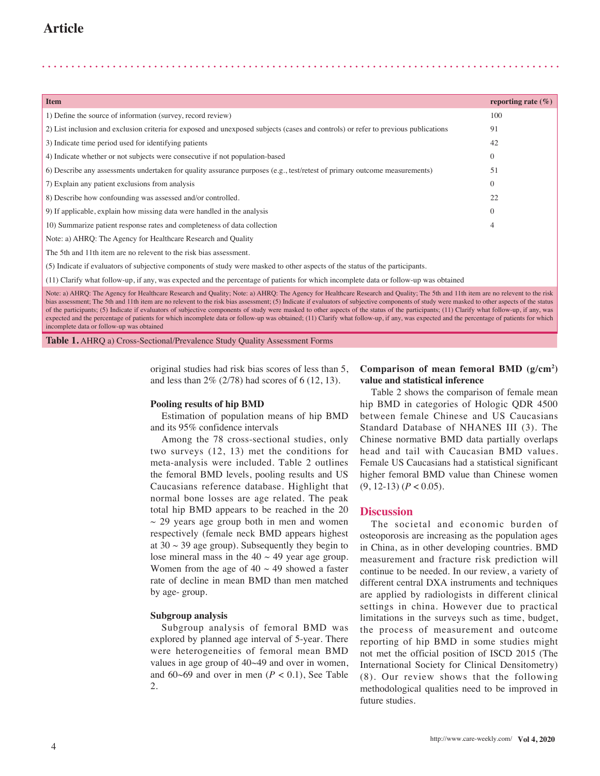| <b>Item</b>                                                                                                                                                                                                                                                                                                                                                                    | reporting rate $(\% )$ |  |  |  |  |  |  |
|--------------------------------------------------------------------------------------------------------------------------------------------------------------------------------------------------------------------------------------------------------------------------------------------------------------------------------------------------------------------------------|------------------------|--|--|--|--|--|--|
| 1) Define the source of information (survey, record review)                                                                                                                                                                                                                                                                                                                    | 100                    |  |  |  |  |  |  |
| 2) List inclusion and exclusion criteria for exposed and unexposed subjects (cases and controls) or refer to previous publications                                                                                                                                                                                                                                             | 91                     |  |  |  |  |  |  |
| 3) Indicate time period used for identifying patients                                                                                                                                                                                                                                                                                                                          |                        |  |  |  |  |  |  |
| 4) Indicate whether or not subjects were consecutive if not population-based                                                                                                                                                                                                                                                                                                   |                        |  |  |  |  |  |  |
| 6) Describe any assessments undertaken for quality assurance purposes (e.g., test/retest of primary outcome measurements)                                                                                                                                                                                                                                                      |                        |  |  |  |  |  |  |
| 7) Explain any patient exclusions from analysis                                                                                                                                                                                                                                                                                                                                | $\Omega$               |  |  |  |  |  |  |
| 8) Describe how confounding was assessed and/or controlled.                                                                                                                                                                                                                                                                                                                    | 22                     |  |  |  |  |  |  |
| 9) If applicable, explain how missing data were handled in the analysis                                                                                                                                                                                                                                                                                                        | $\Omega$               |  |  |  |  |  |  |
| 10) Summarize patient response rates and completeness of data collection                                                                                                                                                                                                                                                                                                       |                        |  |  |  |  |  |  |
| Note: a) AHRQ: The Agency for Healthcare Research and Quality                                                                                                                                                                                                                                                                                                                  |                        |  |  |  |  |  |  |
| The 5th and 11th item are no relevent to the risk bias assessment.                                                                                                                                                                                                                                                                                                             |                        |  |  |  |  |  |  |
| (5) Indicate if evaluators of subjective components of study were masked to other aspects of the status of the participants.                                                                                                                                                                                                                                                   |                        |  |  |  |  |  |  |
| (11) Clarify what follow-up, if any, was expected and the percentage of patients for which incomplete data or follow-up was obtained                                                                                                                                                                                                                                           |                        |  |  |  |  |  |  |
| Note: a) AHRQ: The Agency for Healthcare Research and Quality; Note: a) AHRQ: The Agency for Healthcare Research and Quality; The 5th and 11th item are no relevent to the risk<br>bias assessment; The 5th and 11th item are no relevent to the risk bias assessment; (5) Indicate if evaluators of subjective components of study were masked to other aspects of the status |                        |  |  |  |  |  |  |

of the participants; (5) Indicate if evaluators of subjective components of study were masked to other aspects of the status of the participants; (11) Clarify what follow-up, if any, was expected and the percentage of patients for which incomplete data or follow-up was obtained; (11) Clarify what follow-up, if any, was expected and the percentage of patients for which

**Table 1.** AHRQ a) Cross-Sectional/Prevalence Study Quality Assessment Forms

incomplete data or follow-up was obtained

original studies had risk bias scores of less than 5, and less than 2% (2/78) had scores of 6 (12, 13).

#### **Pooling results of hip BMD**

Estimation of population means of hip BMD and its 95% confidence intervals

Among the 78 cross-sectional studies, only two surveys (12, 13) met the conditions for meta-analysis were included. Table 2 outlines the femoral BMD levels, pooling results and US Caucasians reference database. Highlight that normal bone losses are age related. The peak total hip BMD appears to be reached in the 20  $\sim$  29 years age group both in men and women respectively (female neck BMD appears highest at  $30 \sim 39$  age group). Subsequently they begin to lose mineral mass in the  $40 \sim 49$  year age group. Women from the age of  $40 \sim 49$  showed a faster rate of decline in mean BMD than men matched by age- group.

## **Subgroup analysis**

Subgroup analysis of femoral BMD was explored by planned age interval of 5-year. There were heterogeneities of femoral mean BMD values in age group of 40~49 and over in women, and  $60~69$  and over in men ( $P < 0.1$ ), See Table 2.

## **Comparison of mean femoral BMD (g/cm2 ) value and statistical inference**

Table 2 shows the comparison of female mean hip BMD in categories of Hologic QDR 4500 between female Chinese and US Caucasians Standard Database of NHANES III (3). The Chinese normative BMD data partially overlaps head and tail with Caucasian BMD values. Female US Caucasians had a statistical significant higher femoral BMD value than Chinese women  $(9, 12-13)$   $(P < 0.05)$ .

#### **Discussion**

The societal and economic burden of osteoporosis are increasing as the population ages in China, as in other developing countries. BMD measurement and fracture risk prediction will continue to be needed. In our review, a variety of different central DXA instruments and techniques are applied by radiologists in different clinical settings in china. However due to practical limitations in the surveys such as time, budget, the process of measurement and outcome reporting of hip BMD in some studies might not met the official position of ISCD 2015 (The International Society for Clinical Densitometry) (8). Our review shows that the following methodological qualities need to be improved in future studies.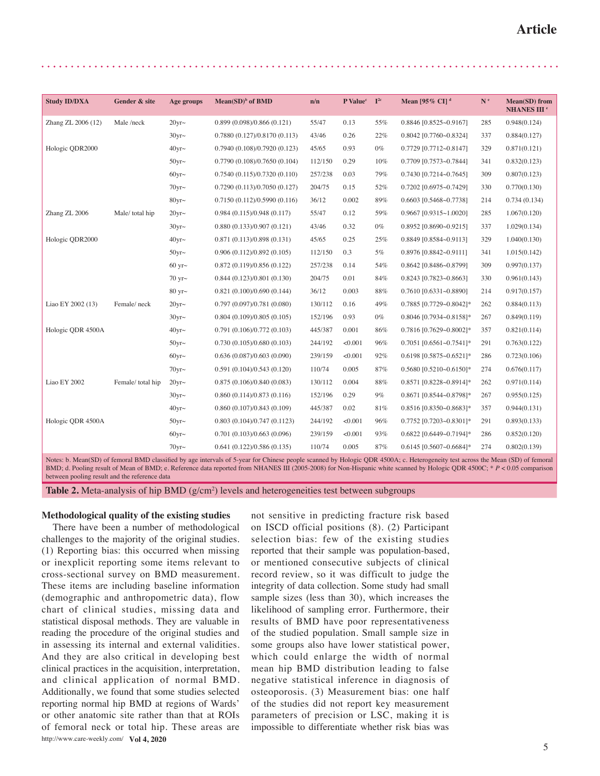| <b>Study ID/DXA</b> | Gender & site    | Age groups     | Mean(SD) <sup>b</sup> of BMD  | n/n     | P Value <sup>c</sup> | $\mathbb{I}^{2c}$ | Mean [95% CI] <sup>d</sup> | $\mathbf{N}$ $\mathrm{^e}$ | <b>Mean(SD)</b> from          |
|---------------------|------------------|----------------|-------------------------------|---------|----------------------|-------------------|----------------------------|----------------------------|-------------------------------|
|                     |                  |                |                               |         |                      |                   |                            |                            | <b>NHANES III<sup>e</sup></b> |
| Zhang ZL 2006 (12)  | Male /neck       | $20$ yr $\sim$ | 0.899(0.098)/0.866(0.121)     | 55/47   | 0.13                 | 55%               | 0.8846 [0.8525~0.9167]     | 285                        | 0.948(0.124)                  |
|                     |                  | $30yr \sim$    | 0.7880(0.127)/0.8170(0.113)   | 43/46   | 0.26                 | 22%               | 0.8042 [0.7760~0.8324]     | 337                        | 0.884(0.127)                  |
| Hologic QDR2000     |                  | $40$ yr $\sim$ | 0.7940 (0.108)/0.7920 (0.123) | 45/65   | 0.93                 | $0\%$             | 0.7729 [0.7712~0.8147]     | 329                        | 0.871(0.121)                  |
|                     |                  | $50$ yr $\sim$ | 0.7790(0.108)/0.7650(0.104)   | 112/150 | 0.29                 | 10%               | 0.7709 [0.7573~0.7844]     | 341                        | 0.832(0.123)                  |
|                     |                  | $60$ yr $\sim$ | 0.7540 (0.115)/0.7320 (0.110) | 257/238 | 0.03                 | 79%               | 0.7430 [0.7214~0.7645]     | 309                        | 0.807(0.123)                  |
|                     |                  | $70$ yr $\sim$ | 0.7290(0.113)/0.7050(0.127)   | 204/75  | 0.15                 | 52%               | $0.7202$ [0.6975~0.7429]   | 330                        | 0.770(0.130)                  |
|                     |                  | 80 $vr$ ~      | 0.7150 (0.112)/0.5990 (0.116) | 36/12   | 0.002                | 89%               | 0.6603 [0.5468~0.7738]     | 214                        | 0.734(0.134)                  |
| Zhang ZL 2006       | Male/ total hip  | $20yr \sim$    | 0.984(0.115)/0.948(0.117)     | 55/47   | 0.12                 | 59%               | $0.9667$ [0.9315~1.0020]   | 285                        | 1.067(0.120)                  |
|                     |                  | $30yr \sim$    | 0.880(0.133)/0.907(0.121)     | 43/46   | 0.32                 | $0\%$             | 0.8952 [0.8690~0.9215]     | 337                        | 1.029(0.134)                  |
| Hologic QDR2000     |                  | $40yr \sim$    | 0.871(0.113)/0.898(0.131)     | 45/65   | 0.25                 | 25%               | 0.8849 [0.8584~0.9113]     | 329                        | 1.040(0.130)                  |
|                     |                  | $50$ yr $\sim$ | 0.906(0.112)/0.892(0.105)     | 112/150 | 0.3                  | 5%                | 0.8976 [0.8842~0.9111]     | 341                        | 1.015(0.142)                  |
|                     |                  | 60 yr $\sim$   | 0.872(0.119)/0.856(0.122)     | 257/238 | 0.14                 | 54%               | 0.8642 [0.8486~0.8799]     | 309                        | 0.997(0.137)                  |
|                     |                  | 70 yr $\sim$   | 0.844(0.123)/0.801(0.130)     | 204/75  | 0.01                 | 84%               | $0.8243$ [0.7823~0.8663]   | 330                        | 0.961(0.143)                  |
|                     |                  | 80 yr $\sim$   | 0.821(0.100)/0.690(0.144)     | 36/12   | 0.003                | 88%               | 0.7610 [0.6331~0.8890]     | 214                        | 0.917(0.157)                  |
| Liao EY 2002 (13)   | Female/neck      | $20$ yr $\sim$ | 0.797(0.097)/0.781(0.080)     | 130/112 | 0.16                 | 49%               | 0.7885 [0.7729~0.8042]*    | 262                        | 0.884(0.113)                  |
|                     |                  | $30yr \sim$    | 0.804(0.109)/0.805(0.105)     | 152/196 | 0.93                 | $0\%$             | 0.8046 [0.7934~0.8158]*    | 267                        | 0.849(0.119)                  |
| Hologic QDR 4500A   |                  | $40$ yr $\sim$ | 0.791(0.106)/0.772(0.103)     | 445/387 | 0.001                | 86%               | $0.7816$ [0.7629~0.8002]*  | 357                        | 0.821(0.114)                  |
|                     |                  | $50$ yr $\sim$ | 0.730(0.105)/0.680(0.103)     | 244/192 | < 0.001              | 96%               | $0.7051$ [0.6561~0.7541]*  | 291                        | 0.763(0.122)                  |
|                     |                  | $60$ yr $\sim$ | 0.636(0.087)/0.603(0.090)     | 239/159 | < 0.001              | 92%               | 0.6198 [0.5875~0.6521]*    | 286                        | 0.723(0.106)                  |
|                     |                  | $70$ yr $\sim$ | 0.591(0.104)/0.543(0.120)     | 110/74  | 0.005                | 87%               | $0.5680$ [0.5210~0.6150]*  | 274                        | 0.676(0.117)                  |
| Liao EY 2002        | Female/total hip | $20$ yr $\sim$ | 0.875(0.106)/0.840(0.083)     | 130/112 | 0.004                | 88%               | 0.8571 [0.8228~0.8914]*    | 262                        | 0.971(0.114)                  |
|                     |                  | $30$ yr $\sim$ | 0.860(0.114)/0.873(0.116)     | 152/196 | 0.29                 | $9\%$             | 0.8671 [0.8544~0.8798]*    | 267                        | 0.955(0.125)                  |
|                     |                  | $40yr \sim$    | 0.860(0.107)/0.843(0.109)     | 445/387 | 0.02                 | 81%               | 0.8516 [0.8350~0.8683]*    | 357                        | 0.944(0.131)                  |
| Hologic QDR 4500A   |                  | $50$ yr $\sim$ | 0.803(0.104)/0.747(0.1123)    | 244/192 | < 0.001              | 96%               | 0.7752 [0.7203~0.8301]*    | 291                        | 0.893(0.133)                  |
|                     |                  | $60$ yr $\sim$ | 0.701(0.103)/0.663(0.096)     | 239/159 | < 0.001              | 93%               | 0.6822 [0.6449~0.7194]*    | 286                        | 0.852(0.120)                  |
|                     |                  | $70$ yr $\sim$ | 0.641(0.122)/0.586(0.135)     | 110/74  | 0.005                | 87%               | 0.6145 [0.5607~0.6684]*    | 274                        | 0.802(0.139)                  |

Notes: b. Mean(SD) of femoral BMD classified by age intervals of 5-year for Chinese people scanned by Hologic QDR 4500A; c. Heterogeneity test across the Mean (SD) of femoral BMD; d. Pooling result of Mean of BMD; e. Reference data reported from NHANES III (2005-2008) for Non-Hispanic white scanned by Hologic QDR 4500C; \* *P* < 0.05 comparison between pooling result and the reference data

Table 2. Meta-analysis of hip BMD (g/cm<sup>2</sup>) levels and heterogeneities test between subgroups

## **Methodological quality of the existing studies**

http://www.care-weekly.com/ **Vol 4, 2020** There have been a number of methodological challenges to the majority of the original studies. (1) Reporting bias: this occurred when missing or inexplicit reporting some items relevant to cross-sectional survey on BMD measurement. These items are including baseline information (demographic and anthropometric data), flow chart of clinical studies, missing data and statistical disposal methods. They are valuable in reading the procedure of the original studies and in assessing its internal and external validities. And they are also critical in developing best clinical practices in the acquisition, interpretation, and clinical application of normal BMD. Additionally, we found that some studies selected reporting normal hip BMD at regions of Wards' or other anatomic site rather than that at ROIs of femoral neck or total hip. These areas are not sensitive in predicting fracture risk based on ISCD official positions (8). (2) Participant selection bias: few of the existing studies reported that their sample was population-based, or mentioned consecutive subjects of clinical record review, so it was difficult to judge the integrity of data collection. Some study had small sample sizes (less than 30), which increases the likelihood of sampling error. Furthermore, their results of BMD have poor representativeness of the studied population. Small sample size in some groups also have lower statistical power, which could enlarge the width of normal mean hip BMD distribution leading to false negative statistical inference in diagnosis of osteoporosis. (3) Measurement bias: one half of the studies did not report key measurement parameters of precision or LSC, making it is impossible to differentiate whether risk bias was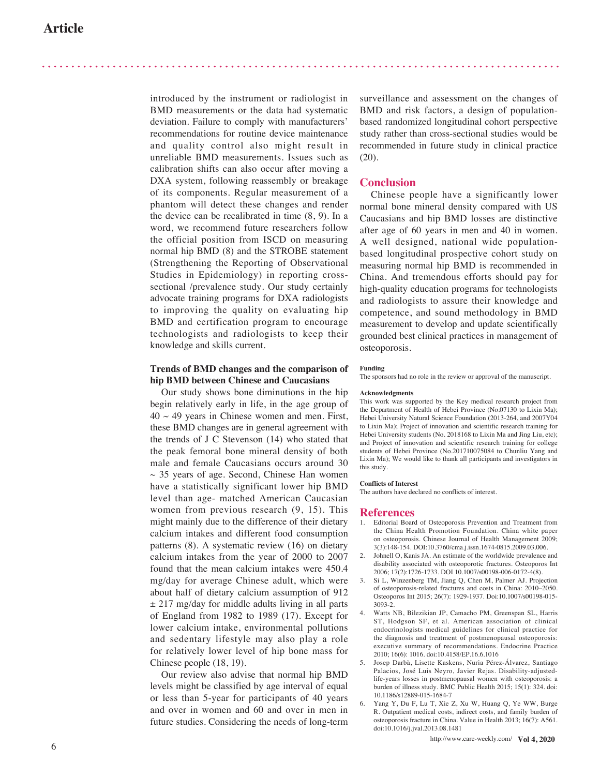introduced by the instrument or radiologist in BMD measurements or the data had systematic deviation. Failure to comply with manufacturers' recommendations for routine device maintenance and quality control also might result in unreliable BMD measurements. Issues such as calibration shifts can also occur after moving a DXA system, following reassembly or breakage of its components. Regular measurement of a phantom will detect these changes and render the device can be recalibrated in time (8, 9). In a word, we recommend future researchers follow the official position from ISCD on measuring normal hip BMD (8) and the STROBE statement (Strengthening the Reporting of Observational Studies in Epidemiology) in reporting crosssectional /prevalence study. Our study certainly advocate training programs for DXA radiologists to improving the quality on evaluating hip BMD and certification program to encourage technologists and radiologists to keep their knowledge and skills current.

## **Trends of BMD changes and the comparison of hip BMD between Chinese and Caucasians**

Our study shows bone diminutions in the hip begin relatively early in life, in the age group of  $40 \sim 49$  years in Chinese women and men. First, these BMD changes are in general agreement with the trends of J C Stevenson (14) who stated that the peak femoral bone mineral density of both male and female Caucasians occurs around 30  $\sim$  35 years of age. Second, Chinese Han women have a statistically significant lower hip BMD level than age- matched American Caucasian women from previous research (9, 15). This might mainly due to the difference of their dietary calcium intakes and different food consumption patterns (8). A systematic review (16) on dietary calcium intakes from the year of 2000 to 2007 found that the mean calcium intakes were 450.4 mg/day for average Chinese adult, which were about half of dietary calcium assumption of 912  $\pm$  217 mg/day for middle adults living in all parts of England from 1982 to 1989 (17). Except for lower calcium intake, environmental pollutions and sedentary lifestyle may also play a role for relatively lower level of hip bone mass for Chinese people (18, 19).

Our review also advise that normal hip BMD levels might be classified by age interval of equal or less than 5-year for participants of 40 years and over in women and 60 and over in men in future studies. Considering the needs of long-term

surveillance and assessment on the changes of BMD and risk factors, a design of populationbased randomized longitudinal cohort perspective study rather than cross-sectional studies would be recommended in future study in clinical practice (20).

## **Conclusion**

Chinese people have a significantly lower normal bone mineral density compared with US Caucasians and hip BMD losses are distinctive after age of 60 years in men and 40 in women. A well designed, national wide populationbased longitudinal prospective cohort study on measuring normal hip BMD is recommended in China. And tremendous efforts should pay for high-quality education programs for technologists and radiologists to assure their knowledge and competence, and sound methodology in BMD measurement to develop and update scientifically grounded best clinical practices in management of osteoporosis.

#### **Funding**

The sponsors had no role in the review or approval of the manuscript.

#### **Acknowledgments**

This work was supported by the Key medical research project from the Department of Health of Hebei Province (No.07130 to Lixin Ma); Hebei University Natural Science Foundation (2013-264, and 2007Y04 to Lixin Ma); Project of innovation and scientific research training for Hebei University students (No. 2018168 to Lixin Ma and Jing Liu, etc); and Project of innovation and scientific research training for college students of Hebei Province (No.201710075084 to Chunliu Yang and Lixin Ma); We would like to thank all participants and investigators in this study.

#### **Conflicts of Interest**

The authors have declared no conflicts of interest.

#### **References**

- 1. Editorial Board of Osteoporosis Prevention and Treatment from the China Health Promotion Foundation. China white paper on osteoporosis. Chinese Journal of Health Management 2009; 3(3):148-154. DOI:10.3760/cma.j.issn.1674-0815.2009.03.006.
- Johnell O, Kanis JA. An estimate of the worldwide prevalence and disability associated with osteoporotic fractures. Osteoporos Int 2006; 17(2):1726-1733. DOI 10.1007/s00198-006-0172-4(8).
- 3. Si L, Winzenberg TM, Jiang Q, Chen M, Palmer AJ. Projection of osteoporosis-related fractures and costs in China: 2010–2050. Osteoporos Int 2015; 26(7): 1929-1937. Doi:10.1007/s00198-015- 3093-2.
- 4. Watts NB, Bilezikian JP, Camacho PM, Greenspan SL, Harris ST, Hodgson SF, et al. American association of clinical endocrinologists medical guidelines for clinical practice for the diagnosis and treatment of postmenopausal osteoporosis: executive summary of recommendations. Endocrine Practice 2010; 16(6): 1016. doi:10.4158/EP.16.6.1016
- 5. Josep Darbà, Lisette Kaskens, Nuria Pérez-Álvarez, Santiago Palacios, José Luis Neyro, Javier Rejas. Disability-adjustedlife-years losses in postmenopausal women with osteoporosis: a burden of illness study. BMC Public Health 2015; 15(1): 324. doi: 10.1186/s12889-015-1684-7
- 6. Yang Y, Du F, Lu T, Xie Z, Xu W, Huang Q, Ye WW, Burge R. Outpatient medical costs, indirect costs, and family burden of osteoporosis fracture in China. Value in Health 2013; 16(7): A561. doi:10.1016/j.jval.2013.08.1481